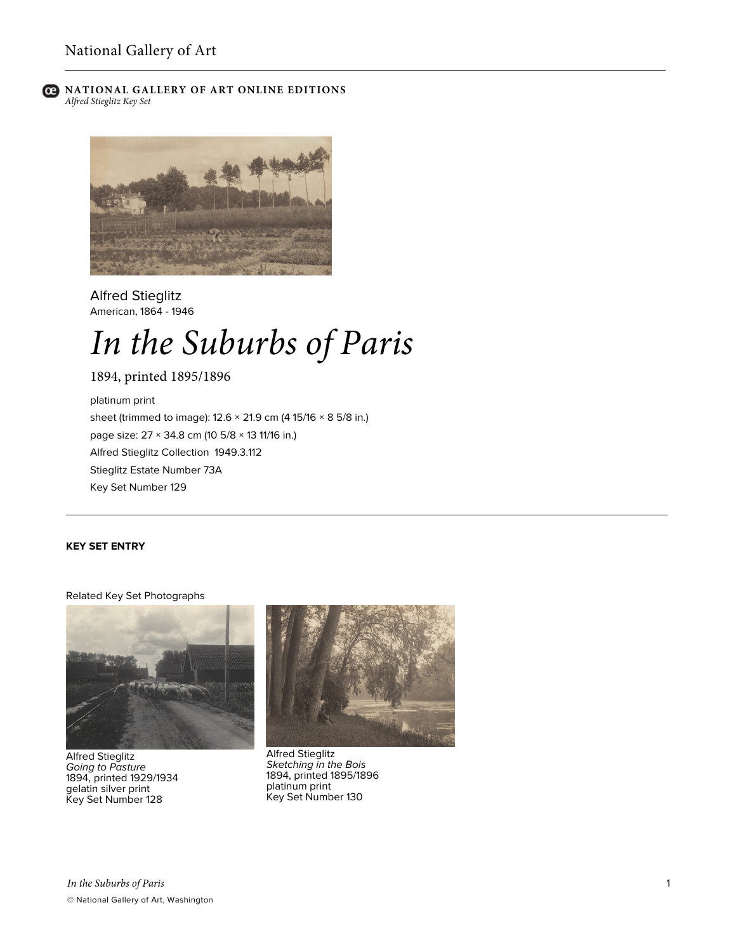

**NATIONAL GALLERY OF ART ONLINE EDITIONS** *Alfred Stieglitz Key Set*



Alfred Stieglitz American, 1864 - 1946

# *In the Suburbs of Paris*

1894, printed 1895/1896

platinum print sheet (trimmed to image): 12.6 × 21.9 cm (4 15/16 × 8 5/8 in.) page size: 27 × 34.8 cm (10 5/8 × 13 11/16 in.) Alfred Stieglitz Collection 1949.3.112 Stieglitz Estate Number 73A Key Set Number 129

## **KEY SET ENTRY**

#### Related Key Set Photographs



Alfred Stieglitz *Going to Pasture* 1894, printed 1929/1934 gelatin silver print Key Set Number 128



Alfred Stieglitz *Sketching in the Bois* 1894, printed 1895/1896 platinum print Key Set Number 130